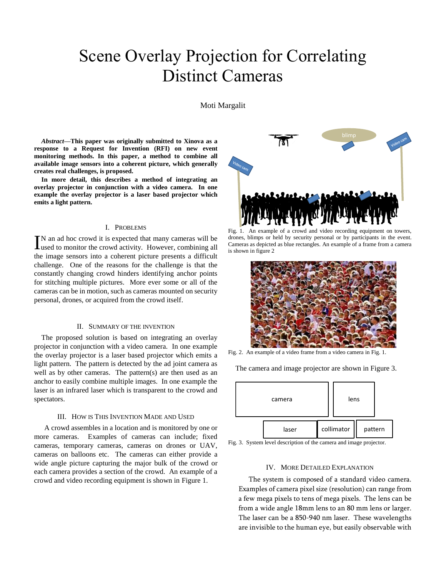# Scene Overlay Projection for Correlating Distinct Cameras

Moti Margalit

*Abstract***—This paper was originally submitted to Xinova as a response to a Request for Invention (RFI) on new event monitoring methods. In this paper, a method to combine all available image sensors into a coherent picture, which generally creates real challenges, is proposed.** 

**In more detail, this describes a method of integrating an overlay projector in conjunction with a video camera. In one example the overlay projector is a laser based projector which emits a light pattern.**

#### I. PROBLEMS

N an ad hoc crowd it is expected that many cameras will be  $\prod$ N an ad hoc crowd it is expected that many cameras will be used to monitor the crowd activity. However, combining all the image sensors into a coherent picture presents a difficult challenge. One of the reasons for the challenge is that the constantly changing crowd hinders identifying anchor points for stitching multiple pictures. More ever some or all of the cameras can be in motion, such as cameras mounted on security personal, drones, or acquired from the crowd itself.

#### II. SUMMARY OF THE INVENTION

The proposed solution is based on integrating an overlay projector in conjunction with a video camera. In one example the overlay projector is a laser based projector which emits a light pattern. The pattern is detected by the ad joint camera as well as by other cameras. The pattern(s) are then used as an anchor to easily combine multiple images. In one example the laser is an infrared laser which is transparent to the crowd and spectators.

#### III. HOW IS THIS INVENTION MADE AND USED

A crowd assembles in a location and is monitored by one or more cameras. Examples of cameras can include; fixed cameras, temporary cameras, cameras on drones or UAV, cameras on balloons etc. The cameras can either provide a wide angle picture capturing the major bulk of the crowd or each camera provides a section of the crowd. An example of a crowd and video recording equipment is shown in Figure 1.



Fig. 1. An example of a crowd and video recording equipment on towers, drones, blimps or held by security personal or by participants in the event. Cameras as depicted as blue rectangles. An example of a frame from a camera is shown in figure 2



Fig. 2. An example of a video frame from a video camera in Fig. 1.

The camera and image projector are shown in Figure 3.



Fig. 3. System level description of the camera and image projector.

### IV. MORE DETAILED EXPLANATION

The system is composed of a standard video camera. Examples of camera pixel size (resolution) can range from a few mega pixels to tens of mega pixels. The lens can be from a wide angle 18mm lens to an 80 mm lens or larger. The laser can be a 850-940 nm laser. These wavelengths